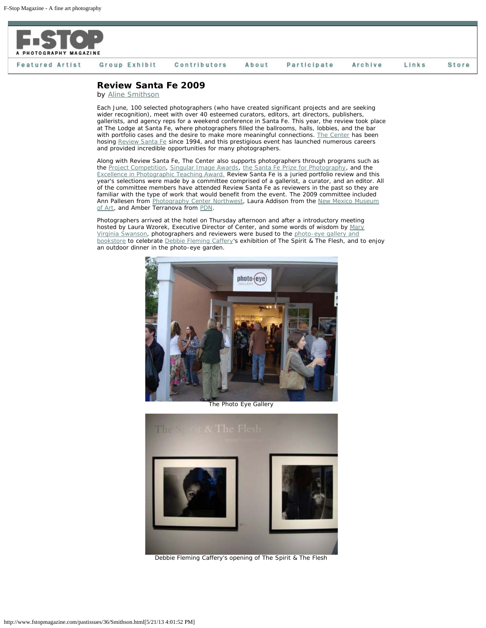

## **Featured Artist** Group Exhibit Contributors About Participate Archive Links **Store**

## **Review Santa Fe 2009**

by [Aline Smithson](http://www.alinesmithson.com/)

Each June, 100 selected photographers (who have created significant projects and are seeking wider recognition), meet with over 40 esteemed curators, editors, art directors, publishers, gallerists, and agency reps for a weekend conference in Santa Fe. This year, the review took place at The Lodge at Santa Fe, where photographers filled the ballrooms, halls, lobbies, and the bar with portfolio cases and the desire to make more meaningful connections. [The Center](http://www.visitcenter.org/) has been hosing [Review Santa Fe](http://www.visitcenter.org/programs.cfm?p=Review) since 1994, and this prestigious event has launched numerous careers and provided incredible opportunities for many photographers.

Along with Review Santa Fe, The Center also supports photographers through programs such as the [Project Competition](http://www.visitcenter.org/programs.cfm?p=ProjectCompetition), [Singular Image Awards,](http://www.visitcenter.org/programs.cfm?p=SingularImage) [the Santa Fe Prize for Photography](http://www.visitcenter.org/programs.cfm?p=SFPrize), and the [Excellence in Photographic Teaching Award.](http://www.visitcenter.org/programs.cfm?p=TeachAward) Review Santa Fe is a juried portfolio review and this year's selections were made by a committee comprised of a gallerist, a curator, and an editor. All of the committee members have attended Review Santa Fe as reviewers in the past so they are familiar with the type of work that would benefit from the event. The 2009 committee included Ann Pallesen from [Photography Center Northwest](http://www.pcnw.org/), Laura Addison from the [New Mexico Museum](http://www.nmartmuseum.org/) [of Art](http://www.nmartmuseum.org/), and Amber Terranova from [PDN.](http://www.pdnonline.com/pdn/index.jsp)

Photographers arrived at the hotel on Thursday afternoon and after a introductory meeting hosted by Laura Wzorek, Executive Director of Center, and some words of wisdom by [Mary](http://www.mvswanson.com/) [Virginia Swanson](http://www.mvswanson.com/), photographers and reviewers were bused to the [photo-eye gallery and](http://www.photoeye.com/) [bookstore](http://www.photoeye.com/) to celebrate [Debbie Fleming Caffery](http://www.debbieflemingcaffery.com/)'s exhibition of The Spirit & The Flesh, and to enjoy an outdoor dinner in the photo-eye garden.



The Photo Eye Gallery



Debbie Fleming Caffery's opening of The Spirit & The Flesh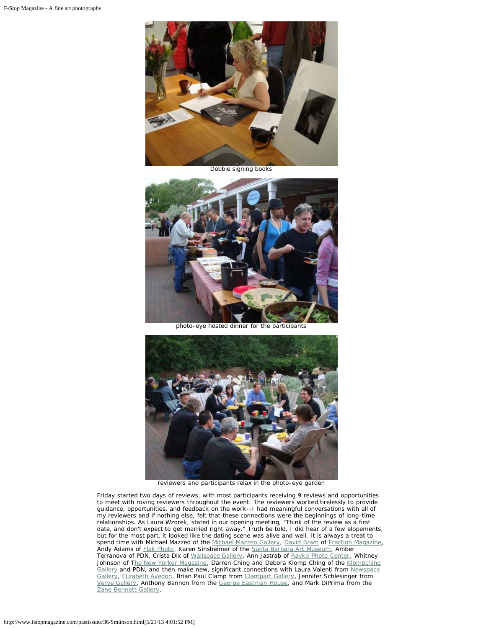

Debbie signing books



photo-eye hosted dinner for the participants



reviewers and participants relax in the photo-eye garden

Friday started two days of reviews, with most participants receiving 9 reviews and opportunities to meet with roving reviewers throughout the event. The reviewers worked tirelessly to provide guidance, opportunities, and feedback on the work--I had meaningful conversations with all of my reviewers and if nothing else, felt that these connections were the beginnings of long-time relationships. As Laura Wzorek, stated in our opening meeting, "Think of the review as a first date, and don't expect to get married right away." Truth be told, I did hear of a few elopements, but for the most part, it looked like the dating scene was alive and well. It is always a treat to spend time with Michael Mazzeo of the [Michael Mazzeo Gallery,](http://www.michaelmazzeo.com/) [David Bram](http://www.davidbram.com/) of [Fraction Magazine,](http://www.fractionmag.com/) Andy Adams of [Flak Photo,](http://www.flakphoto.com/) Karen Sinsheimer of the [Santa Barbara Art Museum](http://www.sbmuseart.org/), Amber Terranova of PDN, Crista Dix of [Wallspace Gallery,](http://www.wallspaceseattle.com/) Ann Jastrab of [Rayko Photo Center,](http://raykophoto.com/) Whitney Johnson of T[he New Yorker Magazine,](http://www.newyorker.com/) Darren Ching and Debora Klomp Ching of the [Klompching](http://www.klompching.com/) [Gallery](http://www.klompching.com/) and PDN, and then make new, significant connections with Laura Valenti from [Newspace](http://www.newspacephoto.org/) [Gallery](http://www.newspacephoto.org/), [Elizabeth Avedon,](http://www.elizabethavedon.com/) Brian Paul Clamp from [Clampart Gallery,](http://www.clampart.com/index.html) Jennifer Schlesinger from [Verve Gallery](http://www.santafephotogallery.com/), Anthony Bannon from the [George Eastman House,](http://www.eastmanhouse.org/) and Mark DiPrima from the [Zane Bennett Gallery](http://www.zanebennettgallery.com/).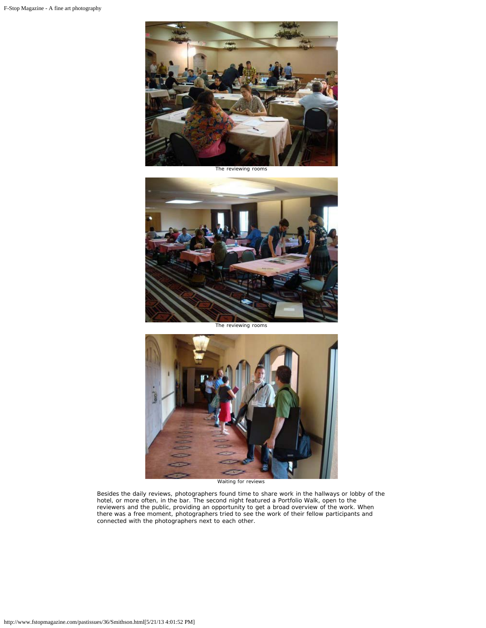

The reviewing rooms



The reviewing rooms



Waiting for reviews

Besides the daily reviews, photographers found time to share work in the hallways or lobby of the hotel, or more often, in the bar. The second night featured a Portfolio Walk, open to the reviewers and the public, providing an opportunity to get a broad overview of the work. When there was a free moment, photographers tried to see the work of their fellow participants and connected with the photographers next to each other.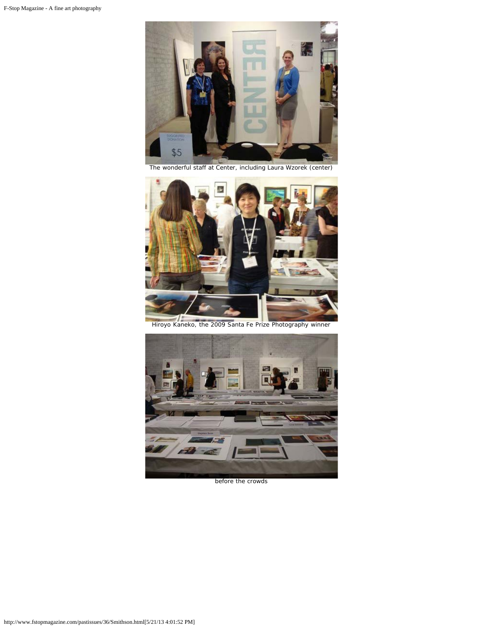

The wonderful staff at Center, including Laura Wzorek (center)



Hiroyo Kaneko, the 2009 Santa Fe Prize Photography winner



before the crowds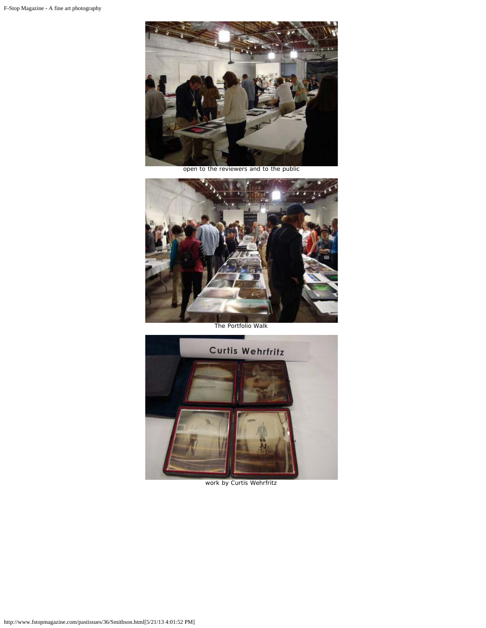

open to the reviewers and to the public



The Portfolio Walk



work by Curtis Wehrfritz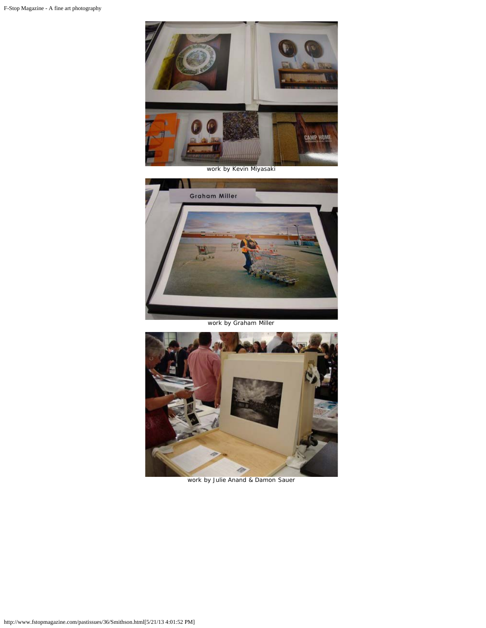

work by Kevin Miyasaki



work by Graham Miller



work by Julie Anand & Damon Sauer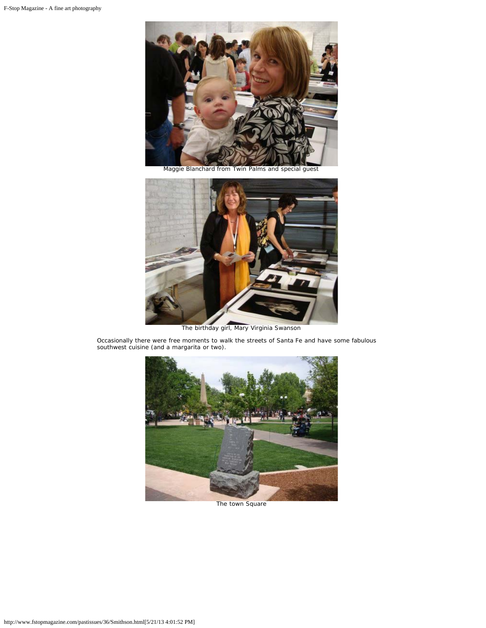

Maggie Blanchard from Twin Palms and special guest



The birthday girl, Mary Virginia Swanson

Occasionally there were free moments to walk the streets of Santa Fe and have some fabulous southwest cuisine (and a margarita or two).



The town Square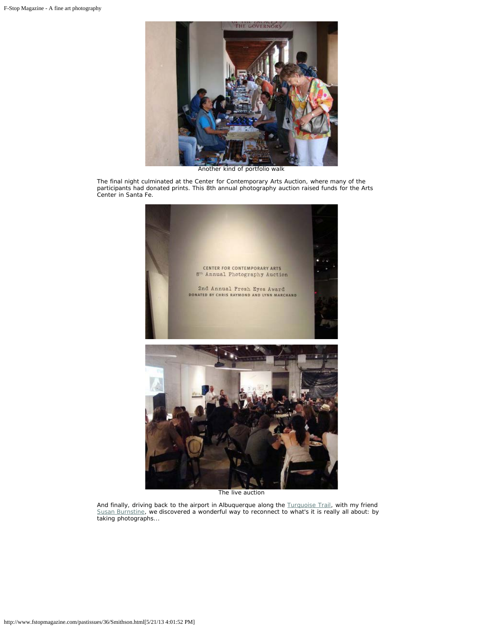

Another kind of portfolio walk

The final night culminated at the Center for Contemporary Arts Auction, where many of the participants had donated prints. This 8th annual photography auction raised funds for the Arts Center in Santa Fe.



The live auction

And finally, driving back to the airport in Albuquerque along the **Turquoise Trail**, with my friend [Susan Burnstine](http://www.susanburnstine.com/), we discovered a wonderful way to reconnect to what's it is really all about: by taking photographs...